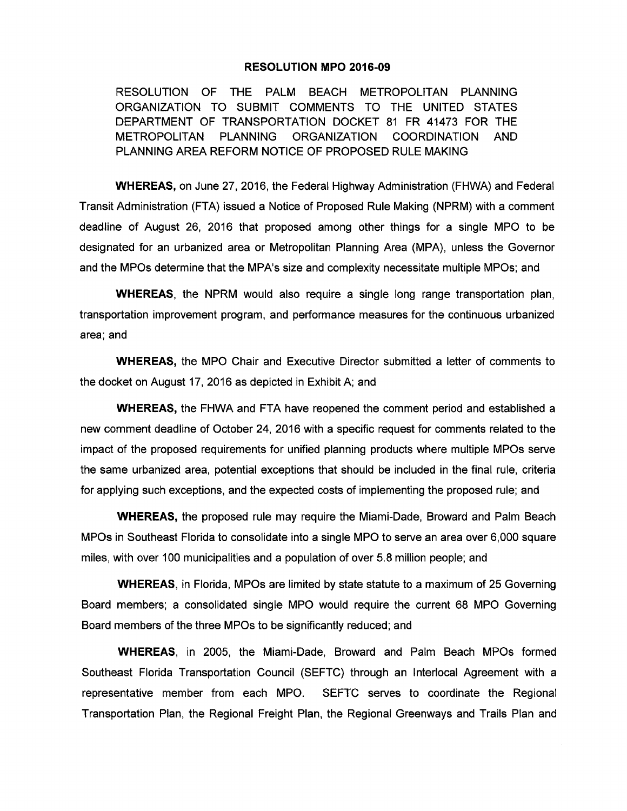## **RESOLUTION MPO 2016-09**

RESOLUTION OF THE PALM BEACH METROPOLITAN PLANNING ORGANIZATION TO SUBMIT COMMENTS TO THE UNITED STATES DEPARTMENT OF TRANSPORTATION DOCKET 81 FR 41473 FOR THE METROPOLITAN PLANNING ORGANIZATION COORDINATION AND PLANNING AREA REFORM NOTICE OF PROPOSED RULE MAKING

**WHEREAS,** on June 27, 2016, the Federal Highway Administration (FHWA) and Federal Transit Administration (FTA) issued a Notice of Proposed Rule Making (NPRM) with a comment deadline of August 26, 2016 that proposed among other things for a single MPO to be designated for an urbanized area or Metropolitan Planning Area (MPA), unless the Governor and the MPOs determine that the MPA's size and complexity necessitate multiple MPOs; and

**WHEREAS,** the NPRM would also require a single long range transportation plan, transportation improvement program, and performance measures for the continuous urbanized area; and

**WHEREAS,** the MPO Chair and Executive Director submitted a letter of comments to the docket on August 17, 2016 as depicted in Exhibit A; and

**WHEREAS,** the FHWA and FTA have reopened the comment period and established a new comment deadline of October 24, 2016 with a specific request for comments related to the impact of the proposed requirements for unified planning products where multiple MPOs serve the same urbanized area, potential exceptions that should be included in the final rule, criteria for applying such exceptions, and the expected costs of implementing the proposed rule; and

**WHEREAS,** the proposed rule may require the Miami-Dade, Broward and Palm Beach MPOs in Southeast Florida to consolidate into a single MPO to serve an area over 6,000 square miles, with over 100 municipalities and a population of over 5.8 million people; and

**WHEREAS,** in Florida, MPOs are limited by state statute to a maximum of 25 Governing Board members; a consolidated single MPO would require the current 68 MPO Governing Board members of the three MPOs to be significantly reduced; and

**WHEREAS,** in 2005, the Miami-Dade, Broward and Palm Beach MPOs formed Southeast Florida Transportation Council (SEFTC) through an lnterlocal Agreement with a representative member from each MPO. SEFTC serves to coordinate the Regional Transportation Plan, the Regional Freight Plan, the Regional Greenways and Trails Plan and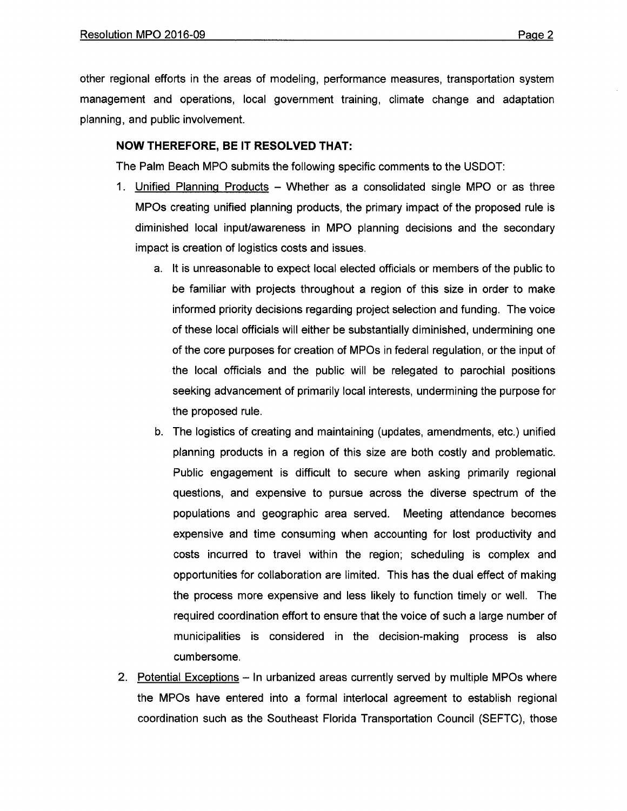other regional efforts in the areas of modeling, performance measures, transportation system management and operations, local government training, climate change and adaptation planning, and public involvement.

## **NOW THEREFORE, BE IT RESOLVED THAT:**

The Palm Beach MPO submits the following specific comments to the USDOT:

- 1. Unified Planning Products Whether as a consolidated single MPO or as three MPOs creating unified planning products, the primary impact of the proposed rule is diminished local input/awareness in MPO planning decisions and the secondary impact is creation of logistics costs and issues.
	- a. It is unreasonable to expect local elected officials or members of the public to be familiar with projects throughout a region of this size in order to make informed priority decisions regarding project selection and funding. The voice of these local officials will either be substantially diminished, undermining one of the core purposes for creation of MPOs in federal regulation, or the input of the local officials and the public will be relegated to parochial positions seeking advancement of primarily local interests, undermining the purpose for the proposed rule.
	- b. The logistics of creating and maintaining (updates, amendments, etc.) unified planning products in a region of this size are both costly and problematic. Public engagement is difficult to secure when asking primarily regional questions, and expensive to pursue across the diverse spectrum of the populations and geographic area served. Meeting attendance becomes expensive and time consuming when accounting for lost productivity and costs incurred to travel within the region; scheduling is complex and opportunities for collaboration are limited. This has the dual effect of making the process more expensive and less likely to function timely or well. The required coordination effort to ensure that the voice of such a large number of municipalities is considered in the decision-making process is also cumbersome.
- 2. Potential Exceptions In urbanized areas currently served by multiple MPOs where the MPOs have entered into a formal interlocal agreement to establish regional coordination such as the Southeast Florida Transportation Council (SEFTC), those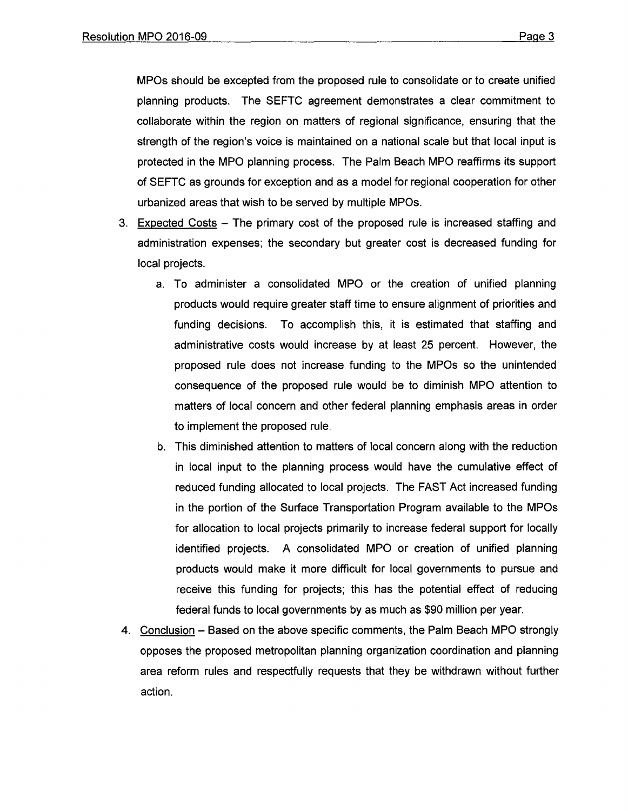MPOs should be excepted from the proposed rule to consolidate or to create unified planning products. The SEFTC agreement demonstrates a clear commitment to collaborate within the region on matters of regional significance, ensuring that the strength of the region's voice is maintained on a national scale but that local input is protected in the MPO planning process. The Palm Beach MPO reaffirms its support of SEFTC as grounds for exception and as a model for regional cooperation for other urbanized areas that wish to be served by multiple MPOs.

- 3. Expected Costs The primary cost of the proposed rule is increased staffing and administration expenses; the secondary but greater cost is decreased funding for local projects.
	- a. To administer a consolidated MPO or the creation of unified planning products would require greater staff time to ensure alignment of priorities and funding decisions. To accomplish this, it is estimated that staffing and administrative costs would increase by at least 25 percent. However, the proposed rule does not increase funding to the MPOs so the unintended consequence of the proposed rule would be to diminish MPO attention to matters of local concern and other federal planning emphasis areas in order to implement the proposed rule.
	- b. This diminished attention to matters of local concern along with the reduction in local input to the planning process would have the cumulative effect of reduced funding allocated to local projects. The FAST Act increased funding in the portion of the Surface Transportation Program available to the MPOs for allocation to local projects primarily to increase federal support for locally identified projects. A consolidated MPO or creation of unified planning products would make it more difficult for local governments to pursue and receive this funding for projects; this has the potential effect of reducing federal funds to local governments by as much as \$90 million per year.
- 4. Conclusion Based on the above specific comments, the Palm Beach MPO strongly opposes the proposed metropolitan planning organization coordination and planning area reform rules and respectfully requests that they be withdrawn without further action.